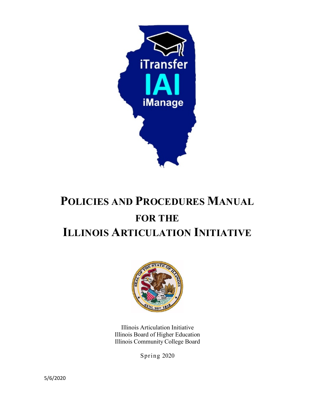

# **POLICIES AND PROCEDURES MANUAL FOR THE ILLINOIS ARTICULATION INITIATIVE**



Illinois Articulation Initiative Illinois Board of Higher Education Illinois Community College Board

Spring 2020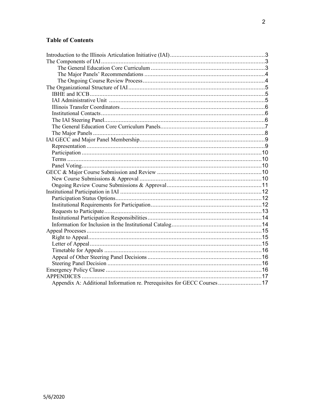# <span id="page-1-0"></span>**Table of Contents**

| Appendix A: Additional Information re. Prerequisites for GECC Courses  17 |  |
|---------------------------------------------------------------------------|--|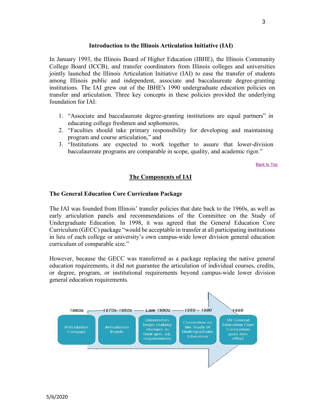#### **Introduction to the Illinois Articulation Initiative (IAI)**

<span id="page-2-0"></span>In January 1993, the Illinois Board of Higher Education (IBHE), the Illinois Community College Board (ICCB), and transfer coordinators from Illinois colleges and universities jointly launched the Illinois Articulation Initiative (IAI) to ease the transfer of students among Illinois public and independent, associate and baccalaureate degree-granting institutions. The IAI grew out of the IBHE's 1990 undergraduate education policies on transfer and articulation. Three key concepts in these policies provided the underlying foundation for IAI:

- 1. "Associate and baccalaureate degree-granting institutions are equal partners" in educating college freshmen and sophomores,
- 2. "Faculties should take primary responsibility for developing and maintaining program and course articulation," and
- 3. "Institutions are expected to work together to assure that lower-division baccalaureate programs are comparable in scope, quality, and academic rigor."

<span id="page-2-2"></span>[Back to Top](#page-1-0)

# **The Components of IAI**

#### <span id="page-2-1"></span>**The General Education Core Curriculum Package**

The IAI was founded from Illinois' transfer policies that date back to the 1960s, as well as early articulation panels and recommendations of the Committee on the Study of Undergraduate Education. In 1998, it was agreed that the General Education Core Curriculum (GECC) package "would be acceptable in transfer at all participating institutions in lieu of each college or university's own campus-wide lower division general education curriculum of comparable size."

However, because the GECC was transferred as a package replacing the native general education requirements, it did not guarantee the articulation of individual courses, credits, or degree, program, or institutional requirements beyond campus-wide lower division general education requirements.

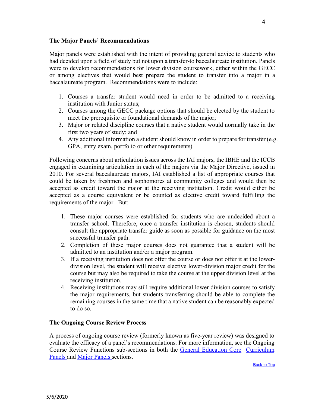#### <span id="page-3-0"></span>**The Major Panels' Recommendations**

Major panels were established with the intent of providing general advice to students who had decided upon a field of study but not upon a transfer-to baccalaureate institution. Panels were to develop recommendations for lower division coursework, either within the GECC or among electives that would best prepare the student to transfer into a major in a baccalaureate program. Recommendations were to include:

- 1. Courses a transfer student would need in order to be admitted to a receiving institution with Junior status;
- 2. Courses among the GECC package options that should be elected by the student to meet the prerequisite or foundational demands of the major;
- 3. Major or related discipline courses that a native student would normally take in the first two years of study; and
- 4. Any additional information a student should know in order to prepare for transfer (e.g. GPA, entry exam, portfolio or other requirements).

Following concerns about articulation issues across the IAI majors, the IBHE and the ICCB engaged in examining articulation in each of the majors via the Major Directive, issued in 2010. For several baccalaureate majors, IAI established a list of appropriate courses that could be taken by freshmen and sophomores at community colleges and would then be accepted as credit toward the major at the receiving institution. Credit would either be accepted as a course equivalent or be counted as elective credit toward fulfilling the requirements of the major. But:

- 1. These major courses were established for students who are undecided about a transfer school. Therefore, once a transfer institution is chosen, students should consult the appropriate transfer guide as soon as possible for guidance on the most successful transfer path.
- 2. Completion of these major courses does not guarantee that a student will be admitted to an institution and/or a major program.
- 3. If a receiving institution does not offer the course or does not offer it at the lowerdivision level, the student will receive elective lower-division major credit for the course but may also be required to take the course at the upper division level at the receiving institution.
- 4. Receiving institutions may still require additional lower division courses to satisfy the major requirements, but students transferring should be able to complete the remaining courses in the same time that a native student can be reasonably expected to do so.

## <span id="page-3-1"></span>**The Ongoing Course Review Process**

<span id="page-3-2"></span>A process of ongoing course review (formerly known as five-year review) was designed to evaluate the efficacy of a panel's recommendations. For more information, see the Ongoing Course Review Functions sub-sections in both the [General Education Core](#page-6-0) [Curriculum](#page-6-0) [Panels a](#page-6-0)nd [Major Panels](#page-7-0) sections.

[Back to Top](#page-1-0)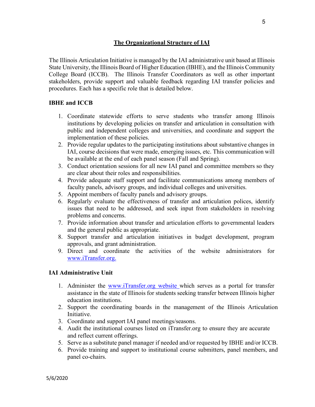## **The Organizational Structure of IAI**

The Illinois Articulation Initiative is managed by the IAI administrative unit based at Illinois State University, the Illinois Board of Higher Education (IBHE), and the Illinois Community College Board (ICCB). The Illinois Transfer Coordinators as well as other important stakeholders, provide support and valuable feedback regarding IAI transfer policies and procedures. Each has a specific role that is detailed below.

## <span id="page-4-0"></span>**IBHE and ICCB**

- 1. Coordinate statewide efforts to serve students who transfer among Illinois institutions by developing policies on transfer and articulation in consultation with public and independent colleges and universities, and coordinate and support the implementation of these policies.
- 2. Provide regular updates to the participating institutions about substantive changes in IAI, course decisions that were made, emerging issues, etc. This communication will be available at the end of each panel season (Fall and Spring).
- 3. Conduct orientation sessions for all new IAI panel and committee members so they are clear about their roles and responsibilities.
- 4. Provide adequate staff support and facilitate communications among members of faculty panels, advisory groups, and individual colleges and universities.
- 5. Appoint members of faculty panels and advisory groups.
- 6. Regularly evaluate the effectiveness of transfer and articulation polices, identify issues that need to be addressed, and seek input from stakeholders in resolving problems and concerns.
- 7. Provide information about transfer and articulation efforts to governmental leaders and the general public as appropriate.
- 8. Support transfer and articulation initiatives in budget development, program approvals, and grant administration.
- 9. Direct and coordinate the activities of the website administrators for [www.iTransfer.org.](http://www.itransfer.org/)

## <span id="page-4-1"></span>**IAI Administrative Unit**

- 1. Administer the [www.iTransfer.org w](http://www.itransfer.org/)ebsite which serves as a portal for transfer assistance in the state of Illinois for students seeking transfer between Illinois higher education institutions.
- 2. Support the coordinating boards in the management of the Illinois Articulation Initiative.
- 3. Coordinate and support IAI panel meetings/seasons.
- 4. Audit the institutional courses listed on iTransfer.org to ensure they are accurate and reflect current offerings.
- 5. Serve as a substitute panel manager if needed and/or requested by IBHE and/or ICCB.
- 6. Provide training and support to institutional course submitters, panel members, and panel co-chairs.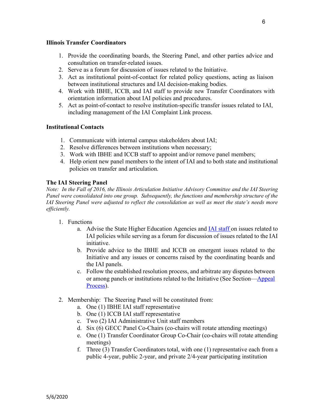#### <span id="page-5-0"></span>**Illinois Transfer Coordinators**

- 1. Provide the coordinating boards, the Steering Panel, and other parties advice and consultation on transfer-related issues.
- 2. Serve as a forum for discussion of issues related to the Initiative.
- 3. Act as institutional point-of-contact for related policy questions, acting as liaison between institutional structures and IAI decision-making bodies.
- 4. Work with IBHE, ICCB, and IAI staff to provide new Transfer Coordinators with orientation information about IAI policies and procedures.
- 5. Act as point-of-contact to resolve institution-specific transfer issues related to IAI, including management of the IAI Complaint Link process.

## <span id="page-5-1"></span>**Institutional Contacts**

- 1. Communicate with internal campus stakeholders about IAI;
- 2. Resolve differences between institutions when necessary;
- 3. Work with IBHE and ICCB staff to appoint and/or remove panel members;
- 4. Help orient new panel members to the intent of IAI and to both state and institutional policies on transfer and articulation.

# <span id="page-5-2"></span>**The IAI Steering Panel**

*Note: In the Fall of 2016, the Illinois Articulation Initiative Advisory Committee and the IAI Steering Panel were consolidated into one group. Subsequently, the functions and membership structure of the IAI Steering Panel were adjusted to reflect the consolidation as well as meet the state's needs more efficiently.* 

- 1. Functions
	- a. Advise the State Higher Education Agencies and [IAI s](http://www.itransfer.org/)taff on issues related to IAI policies while serving as a forum for discussion of issues related to the IAI initiative.
	- b. Provide advice to the IBHE and ICCB on emergent issues related to the Initiative and any issues or concerns raised by the coordinating boards and the IAI panels.
	- c. Follow the established resolution process, and arbitrate any disputes between or among panels or institutions related to the Initiative (See Section—Appeal Process).
- 2. Membership: The Steering Panel will be constituted from:
	- a. One (1) IBHE IAI staff representative
	- b. One (1) ICCB IAI staff representative
	- c. Two (2) IAI Administrative Unit staff members
	- d. Six (6) GECC Panel Co-Chairs (co-chairs will rotate attending meetings)
	- e. One (1) Transfer Coordinator Group Co-Chair (co-chairs will rotate attending meetings)
	- f. Three (3) Transfer Coordinators total, with one (1) representative each from a public 4-year, public 2-year, and private 2/4-year participating institution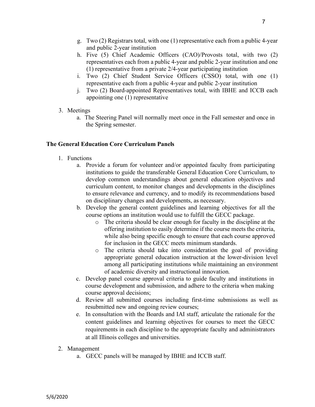- h. Five (5) Chief Academic Officers (CAO)/Provosts total, with two (2) representatives each from a public 4-year and public 2-year institution and one (1) representative from a private 2/4-year participating institution
- i. Two (2) Chief Student Service Officers (CSSO) total, with one (1) representative each from a public 4-year and public 2-year institution
- j. Two (2) Board-appointed Representatives total, with IBHE and ICCB each appointing one (1) representative
- 3. Meetings
	- a. The Steering Panel will normally meet once in the Fall semester and once in the Spring semester.

# <span id="page-6-0"></span>**The General Education Core Curriculum Panels**

- 1. Functions
	- a. Provide a forum for volunteer and/or appointed faculty from participating institutions to guide the transferable General Education Core Curriculum, to develop common understandings about general education objectives and curriculum content, to monitor changes and developments in the disciplines to ensure relevance and currency, and to modify its recommendations based on disciplinary changes and developments, as necessary.
	- b. Develop the general content guidelines and learning objectives for all the course options an institution would use to fulfill the GECC package.
		- o The criteria should be clear enough for faculty in the discipline at the offering institution to easily determine if the course meets the criteria, while also being specific enough to ensure that each course approved for inclusion in the GECC meets minimum standards.
		- o The criteria should take into consideration the goal of providing appropriate general education instruction at the lower-division level among all participating institutions while maintaining an environment of academic diversity and instructional innovation.
	- c. Develop panel course approval criteria to guide faculty and institutions in course development and submission, and adhere to the criteria when making course approval decisions;
	- d. Review all submitted courses including first-time submissions as well as resubmitted new and ongoing review courses;
	- e. In consultation with the Boards and IAI staff, articulate the rationale for the content guidelines and learning objectives for courses to meet the GECC requirements in each discipline to the appropriate faculty and administrators at all Illinois colleges and universities.
- 2. Management
	- a. GECC panels will be managed by IBHE and ICCB staff.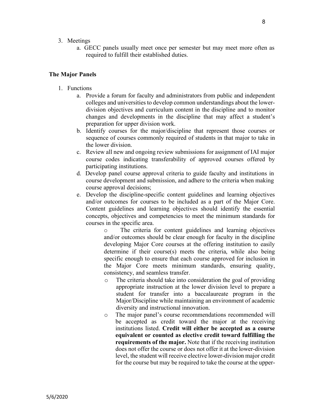- 3. Meetings
	- a. GECC panels usually meet once per semester but may meet more often as required to fulfill their established duties.

#### <span id="page-7-0"></span>**The Major Panels**

- 1. Functions
	- a. Provide a forum for faculty and administrators from public and independent colleges and universities to develop common understandings about the lowerdivision objectives and curriculum content in the discipline and to monitor changes and developments in the discipline that may affect a student's preparation for upper division work.
	- b. Identify courses for the major/discipline that represent those courses or sequence of courses commonly required of students in that major to take in the lower division.
	- c. Review all new and ongoing review submissions for assignment of IAI major course codes indicating transferability of approved courses offered by participating institutions.
	- d. Develop panel course approval criteria to guide faculty and institutions in course development and submission, and adhere to the criteria when making course approval decisions;
	- e. Develop the discipline-specific content guidelines and learning objectives and/or outcomes for courses to be included as a part of the Major Core. Content guidelines and learning objectives should identify the essential concepts, objectives and competencies to meet the minimum standards for courses in the specific area.

o The criteria for content guidelines and learning objectives and/or outcomes should be clear enough for faculty in the discipline developing Major Core courses at the offering institution to easily determine if their course(s) meets the criteria, while also being specific enough to ensure that each course approved for inclusion in the Major Core meets minimum standards, ensuring quality, consistency, and seamless transfer.

- o The criteria should take into consideration the goal of providing appropriate instruction at the lower division level to prepare a student for transfer into a baccalaureate program in the Major/Discipline while maintaining an environment of academic diversity and instructional innovation.
- o The major panel's course recommendations recommended will be accepted as credit toward the major at the receiving institutions listed. **Credit will either be accepted as a course equivalent or counted as elective credit toward fulfilling the requirements of the major.** Note that if the receiving institution does not offer the course or does not offer it at the lower-division level, the student will receive elective lower-division major credit for the course but may be required to take the course at the upper-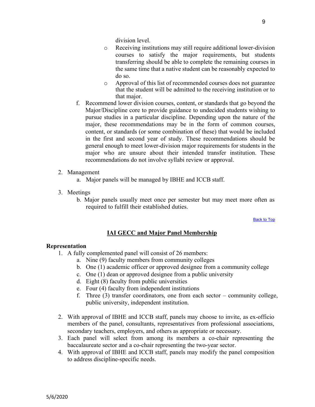division level.

- o Receiving institutions may still require additional lower-division courses to satisfy the major requirements, but students transferring should be able to complete the remaining courses in the same time that a native student can be reasonably expected to do so.
- o Approval of this list of recommended courses does not guarantee that the student will be admitted to the receiving institution or to that major.
- f. Recommend lower division courses, content, or standards that go beyond the Major/Discipline core to provide guidance to undecided students wishing to pursue studies in a particular discipline. Depending upon the nature of the major, these recommendations may be in the form of common courses, content, or standards (or some combination of these) that would be included in the first and second year of study. These recommendations should be general enough to meet lower-division major requirements for students in the major who are unsure about their intended transfer institution. These recommendations do not involve syllabi review or approval.
- 2. Management
	- a. Major panels will be managed by IBHE and ICCB staff.
- 3. Meetings
	- b. Major panels usually meet once per semester but may meet more often as required to fulfill their established duties.

[Back to Top](#page-1-0)

#### **IAI GECC and Major Panel Membership**

#### **Representation**

- 1. A fully complemented panel will consist of 26 members:
	- a. Nine (9) faculty members from community colleges
	- b. One (1) academic officer or approved designee from a community college
	- c. One (1) dean or approved designee from a public university
	- d. Eight (8) faculty from public universities
	- e. Four (4) faculty from independent institutions
	- f. Three (3) transfer coordinators, one from each sector community college, public university, independent institution.
- 2. With approval of IBHE and ICCB staff, panels may choose to invite, as ex-officio members of the panel, consultants, representatives from professional associations, secondary teachers, employers, and others as appropriate or necessary.
- 3. Each panel will select from among its members a co-chair representing the baccalaureate sector and a co-chair representing the two-year sector.
- 4. With approval of IBHE and ICCB staff, panels may modify the panel composition to address discipline-specific needs.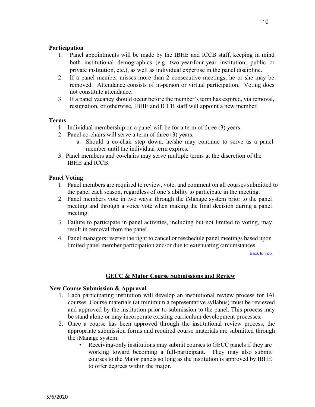## <span id="page-9-0"></span>**Participation**

- 1. Panel appointments will be made by the IBHE and ICCB staff, keeping in mind both institutional demographics (e.g. two-year/four-year institution; public or private institution, etc.), as well as individual expertise in the panel discipline.
- 2. If a panel member misses more than 2 consecutive meetings, he or she may be removed. Attendance consists of in-person or virtual participation. Voting does not constitute attendance.
- 3. If a panel vacancy should occur before the member's term has expired, via removal, resignation, or otherwise, IBHE and ICCB staff will appoint a new member.

# <span id="page-9-1"></span>**Terms**

- 1. Individual membership on a panel will be for a term of three (3) years.
- 2. Panel co-chairs will serve a term of three (3) years.
	- a. Should a co-chair step down, he/she may continue to serve as a panel member until the individual term expires.
- 3. Panel members and co-chairs may serve multiple terms at the discretion of the IBHE and ICCB.

# <span id="page-9-2"></span>**Panel Voting**

- 1. Panel members are required to review, vote, and comment on all courses submitted to the panel each season, regardless of one's ability to participate in the meeting.
- 2. Panel members vote in two ways: through the iManage system prior to the panel meeting and through a voice vote when making the final decision during a panel meeting.
- 3. Failure to participate in panel activities, including but not limited to voting, may result in removal from the panel.
- 4. Panel managers reserve the right to cancel or reschedule panel meetings based upon limited panel member participation and/or due to extenuating circumstances.

[Back to Top](#page-1-0)

# **GECC & Major Course Submissions and Review**

## **New Course Submission & Approval**

- 1. Each participating institution will develop an institutional review process for IAI courses. Course materials (at minimum a representative syllabus) must be reviewed and approved by the institution prior to submission to the panel. This process may be stand alone or may incorporate existing curriculum development processes.
- 2. Once a course has been approved through the institutional review process, the appropriate submission forms and required course materials are submitted through the iManage system.
	- Receiving-only institutions may submit courses to GECC panels if they are working toward becoming a full-participant. They may also submit courses to the Major panels so long as the institution is approved by IBHE to offer degrees within the major.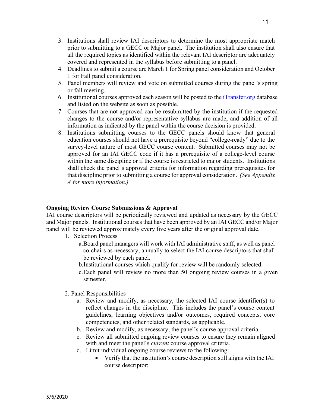- 3. Institutions shall review IAI descriptors to determine the most appropriate match prior to submitting to a GECC or Major panel. The institution shall also ensure that all the required topics as identified within the relevant IAI descriptor are adequately covered and represented in the syllabus before submitting to a panel.
- 4. Deadlines to submit a course are March 1 for Spring panel consideration and October 1 for Fall panel consideration.
- 5. Panel members will review and vote on submitted courses during the panel's spring or fall meeting.
- 6. Institutional courses approved each season will be posted to th[e iTransfer.org d](http://www.itransfer.org/)atabase and listed on the website as soon as possible.
- 7. Courses that are not approved can be resubmitted by the institution if the requested changes to the course and/or representative syllabus are made, and addition of all information as indicated by the panel within the course decision is provided.
- 8. Institutions submitting courses to the GECC panels should know that general education courses should not have a prerequisite beyond "college-ready" due to the survey-level nature of most GECC course content. Submitted courses may not be approved for an IAI GECC code if it has a prerequisite of a college-level course within the same discipline or if the course is restricted to major students. Institutions shall check the panel's approval criteria for information regarding prerequisites for that discipline prior to submitting a course for approval consideration. *(See Appendix A for more information.)*

# **Ongoing Review Course Submissions & Approval**

IAI course descriptors will be periodically reviewed and updated as necessary by the GECC and Major panels. Institutional courses that have been approved by an IAI GECC and/or Major panel will be reviewed approximately every five years after the original approval date.

- 1. Selection Process
	- a.Board panel managers will work with IAI administrative staff, as well as panel co-chairs as necessary, annually to select the IAI course descriptors that shall be reviewed by each panel.
	- b.Institutional courses which qualify for review will be randomly selected.
	- c.Each panel will review no more than 50 ongoing review courses in a given semester.
- 2. Panel Responsibilities
	- a. Review and modify, as necessary, the selected IAI course identifier(s) to reflect changes in the discipline. This includes the panel's course content guidelines, learning objectives and/or outcomes, required concepts, core competencies, and other related standards, as applicable.
	- b. Review and modify, as necessary, the panel's course approval criteria.
	- c. Review all submitted ongoing review courses to ensure they remain aligned with and meet the panel's *current* course approval criteria.
	- d. Limit individual ongoing course reviews to the following:
		- Verify that the institution's course description still aligns with the IAI course descriptor;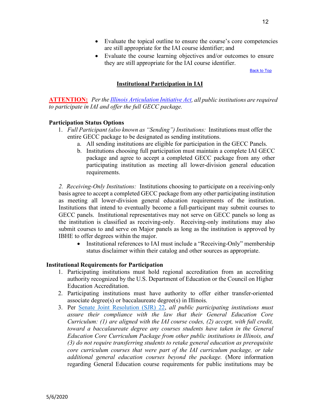- Evaluate the topical outline to ensure the course's core competencies are still appropriate for the IAI course identifier; and
- Evaluate the course learning objectives and/or outcomes to ensure they are still appropriate for the IAI course identifier.

[Back to Top](#page-1-0)

# **Institutional Participation in IAI**

**ATTENTION:** *Per the [Illinois Articulation Initiative Act,](http://www.ilga.gov/legislation/publicacts/99/099-0636.htm) all public institutions are required to participate in IAI and offer the full GECC package.*

## **Participation Status Options**

- 1. *Full Participant (also known as "Sending") Institutions:* Institutions must offer the entire GECC package to be designated as sending institutions.
	- a. All sending institutions are eligible for participation in the GECC Panels.
	- b. Institutions choosing full participation must maintain a complete IAI GECC package and agree to accept a completed GECC package from any other participating institution as meeting all lower-division general education requirements.

*2. Receiving-Only Institutions:* Institutions choosing to participate on a receiving-only basis agree to accept a completed GECC package from any other participating institution as meeting all lower-division general education requirements of the institution. Institutions that intend to eventually become a full-participant may submit courses to GECC panels. Institutional representatives may not serve on GECC panels so long as the institution is classified as receiving-only. Receiving-only institutions may also submit courses to and serve on Major panels as long as the institution is approved by IBHE to offer degrees within the major.

• Institutional references to IAI must include a "Receiving-Only" membership status disclaimer within their catalog and other sources as appropriate.

# **Institutional Requirements for Participation**

- 1. Participating institutions must hold regional accreditation from an accrediting authority recognized by the U.S. Department of Education or the Council on Higher Education Accreditation.
- 2. Participating institutions must have authority to offer either transfer-oriented associate degree(s) or baccalaureate degree(s) in Illinois.
- 3. Per [Senate Joint Resolution \(SJR\) 22,](http://www.ilga.gov/legislation/fulltext.asp?DocName=&SessionId=108&GA=101&DocTypeId=SJR&DocNum=22&GAID=15&LegID=119143&SpecSess=&Session=) *all public participating institutions must assure their compliance with the law that their General Education Core Curriculum: (1) are aligned with the IAI course codes, (2) accept, with full credit, toward a baccalaureate degree any courses students have taken in the General Education Core Curriculum Package from other public institutions in Illinois, and (3) do not require transferring students to retake general education as prerequisite core curriculum courses that were part of the IAI curriculum package, or take additional general education courses beyond the package.* (More information regarding General Education course requirements for public institutions may be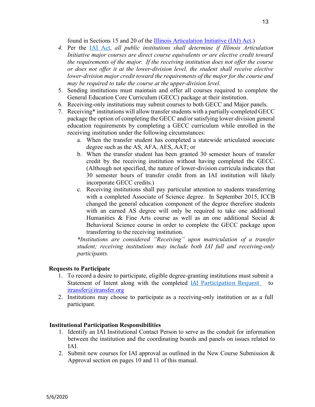found in Sections 15 and 20 of the [Illinois Articulation Initiative \(IAI\) Act.](http://www.ilga.gov/legislation/publicacts/99/099-0636.htm))

- *4.* Per the [IAI Act,](http://www.ilga.gov/legislation/publicacts/99/099-0636.htm) *all public institutions shall determine if Illinois Articulation Initiative major courses are direct course equivalents or are elective credit toward the requirements of the major. If the receiving institution does not offer the course or does not offer it at the lower-division level, the student shall receive elective lower-division major credit toward the requirements of the major for the course and may be required to take the course at the upper-division level.*
- 5. Sending institutions must maintain and offer all courses required to complete the General Education Core Curriculum (GECC) package at their institution.
- 6. Receiving-only institutions may submit courses to both GECC and Major panels.
- 7. Receiving\* institutions will allow transfer students with a partially-completed GECC package the option of completing the GECC and/or satisfying lower-division general education requirements by completing a GECC curriculum while enrolled in the receiving institution under the following circumstances:
	- a. When the transfer student has completed a statewide articulated associate degree such as the AS, AFA, AES, AAT; or
	- b. When the transfer student has been granted 30 semester hours of transfer credit by the receiving institution without having completed the GECC. (Although not specified, the nature of lower-division curricula indicates that 30 semester hours of transfer credit from an IAI institution will likely incorporate GECC credits.)
	- c. Receiving institutions shall pay particular attention to students transferring with a completed Associate of Science degree. In September 2015, ICCB changed the general education component of the degree therefore students with an earned AS degree will only be required to take one additional Humanities & Fine Arts course as well as an one additional Social & Behavioral Science course in order to complete the GECC package upon transferring to the receiving institution.

*\*Institutions are considered "Receiving" upon matriculation of a transfer student; receiving institutions may include both IAI full and receiving-only participants.*

# **Requests to Participate**

- 1. To record a desire to participate, eligible degree-granting institutions must submit a Statement of Intent along with the completed *IAI* Participation Request to [itransfer@itransfer.org](mailto:itransfer@itransfer.org)
- 2. Institutions may choose to participate as a receiving-only institution or as a full participant.

## **Institutional Participation Responsibilities**

- 1. Identify an IAI Institutional Contact Person to serve as the conduit for information between the institution and the coordinating boards and panels on issues related to IAI.
- 2. Submit new courses for IAI approval as outlined in the New Course Submission & Approval section on pages 10 and 11 of this manual.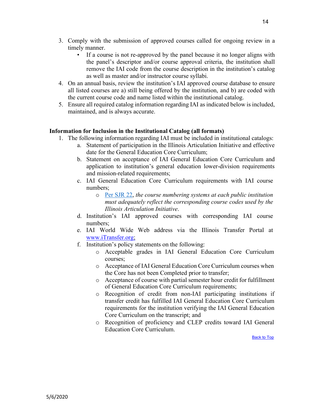- 3. Comply with the submission of approved courses called for ongoing review in a timely manner.
	- If a course is not re-approved by the panel because it no longer aligns with the panel's descriptor and/or course approval criteria, the institution shall remove the IAI code from the course description in the institution's catalog as well as master and/or instructor course syllabi.
- 4. On an annual basis, review the institution's IAI approved course database to ensure all listed courses are a) still being offered by the institution, and b) are coded with the current course code and name listed within the institutional catalog.
- 5. Ensure all required catalog information regarding IAI as indicated below is included, maintained, and is always accurate.

# **Information for Inclusion in the Institutional Catalog (all formats)**

- 1. The following information regarding IAI must be included in institutional catalogs:
	- a. Statement of participation in the Illinois Articulation Initiative and effective date for the General Education Core Curriculum;
	- b. Statement on acceptance of IAI General Education Core Curriculum and application to institution's general education lower-division requirements and mission-related requirements;
	- c. IAI General Education Core Curriculum requirements with IAI course numbers;
		- o [Per SJR 22,](http://www.ilga.gov/legislation/fulltext.asp?DocName=&SessionId=108&GA=101&DocTypeId=SJR&DocNum=22&GAID=15&LegID=119143&SpecSess=&Session=) *the course numbering systems at each public institution must adequately reflect the corresponding course codes used by the Illinois Articulation Initiative*.
	- d. Institution's IAI approved courses with corresponding IAI course numbers;
	- e. IAI World Wide Web address via the Illinois Transfer Portal at [www.iTransfer.org;](http://www.itransfer.org/)
	- f. Institution's policy statements on the following:
		- o Acceptable grades in IAI General Education Core Curriculum courses;
		- o Acceptance of IAI General Education Core Curriculum courses when the Core has not been Completed prior to transfer;
		- o Acceptance of course with partial semester hour credit for fulfillment of General Education Core Curriculum requirements;
		- o Recognition of credit from non-IAI participating institutions if transfer credit has fulfilled IAI General Education Core Curriculum requirements for the institution verifying the IAI General Education Core Curriculum on the transcript; and
		- o Recognition of proficiency and CLEP credits toward IAI General Education Core Curriculum.

<span id="page-13-0"></span>**[Back to Top](#page-1-0)**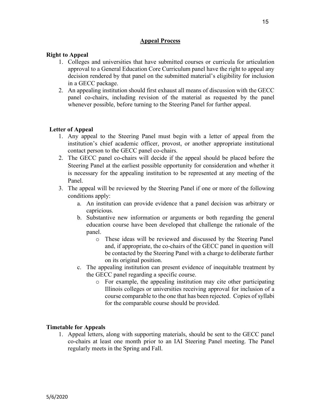# **Appeal Process**

#### **Right to Appeal**

- 1. Colleges and universities that have submitted courses or curricula for articulation approval to a General Education Core Curriculum panel have the right to appeal any decision rendered by that panel on the submitted material's eligibility for inclusion in a GECC package.
- 2. An appealing institution should first exhaust all means of discussion with the GECC panel co-chairs, including revision of the material as requested by the panel whenever possible, before turning to the Steering Panel for further appeal.

#### **Letter of Appeal**

- 1. Any appeal to the Steering Panel must begin with a letter of appeal from the institution's chief academic officer, provost, or another appropriate institutional contact person to the GECC panel co-chairs.
- 2. The GECC panel co-chairs will decide if the appeal should be placed before the Steering Panel at the earliest possible opportunity for consideration and whether it is necessary for the appealing institution to be represented at any meeting of the Panel.
- 3. The appeal will be reviewed by the Steering Panel if one or more of the following conditions apply:
	- a. An institution can provide evidence that a panel decision was arbitrary or capricious.
	- b. Substantive new information or arguments or both regarding the general education course have been developed that challenge the rationale of the panel.
		- o These ideas will be reviewed and discussed by the Steering Panel and, if appropriate, the co-chairs of the GECC panel in question will be contacted by the Steering Panel with a charge to deliberate further on its original position.
	- c. The appealing institution can present evidence of inequitable treatment by the GECC panel regarding a specific course.
		- o For example, the appealing institution may cite other participating Illinois colleges or universities receiving approval for inclusion of a course comparable to the one that has been rejected. Copies of syllabi for the comparable course should be provided.

#### **Timetable for Appeals**

1. Appeal letters, along with supporting materials, should be sent to the GECC panel co-chairs at least one month prior to an IAI Steering Panel meeting. The Panel regularly meets in the Spring and Fall.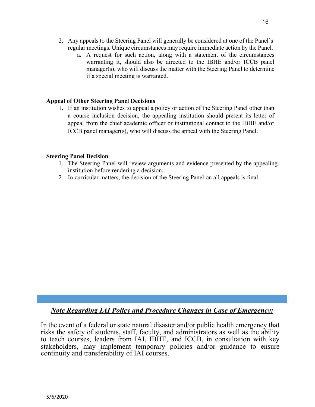- 2. Any appeals to the Steering Panel will generally be considered at one of the Panel's regular meetings. Unique circumstances may require immediate action by the Panel.
	- a. A request for such action, along with a statement of the circumstances warranting it, should also be directed to the IBHE and/or ICCB panel manager(s), who will discuss the matter with the Steering Panel to determine if a special meeting is warranted.

# **Appeal of Other Steering Panel Decisions**

1. If an institution wishes to appeal a policy or action of the Steering Panel other than a course inclusion decision, the appealing institution should present its letter of appeal from the chief academic officer or institutional contact to the IBHE and/or ICCB panel manager(s), who will discuss the appeal with the Steering Panel.

## **Steering Panel Decision**

- 1. The Steering Panel will review arguments and evidence presented by the appealing institution before rendering a decision.
- 2. In curricular matters, the decision of the Steering Panel on all appeals is final.

*Note Regarding IAI Policy and Procedure Changes in Case of Emergency:*

In the event of a federal or state natural disaster and/or public health emergency that risks the safety of students, staff, faculty, and administrators as well as the ability to teach courses, leaders from IAI, IBHE, and ICCB, in consultation with key stakeholders, may implement temporary policies and/or guidance to ensure continuity and transferability of IAI courses.